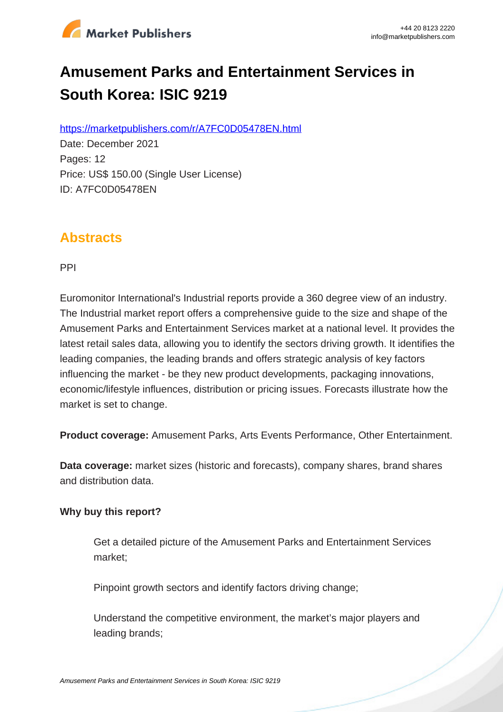

# **Amusement Parks and Entertainment Services in South Korea: ISIC 9219**

https://marketpublishers.com/r/A7FC0D05478EN.html

Date: December 2021 Pages: 12 Price: US\$ 150.00 (Single User License) ID: A7FC0D05478EN

## **Abstracts**

PPI

Euromonitor International's Industrial reports provide a 360 degree view of an industry. The Industrial market report offers a comprehensive guide to the size and shape of the Amusement Parks and Entertainment Services market at a national level. It provides the latest retail sales data, allowing you to identify the sectors driving growth. It identifies the leading companies, the leading brands and offers strategic analysis of key factors influencing the market - be they new product developments, packaging innovations, economic/lifestyle influences, distribution or pricing issues. Forecasts illustrate how the market is set to change.

**Product coverage:** Amusement Parks, Arts Events Performance, Other Entertainment.

**Data coverage:** market sizes (historic and forecasts), company shares, brand shares and distribution data.

#### **Why buy this report?**

Get a detailed picture of the Amusement Parks and Entertainment Services market;

Pinpoint growth sectors and identify factors driving change;

Understand the competitive environment, the market's major players and leading brands;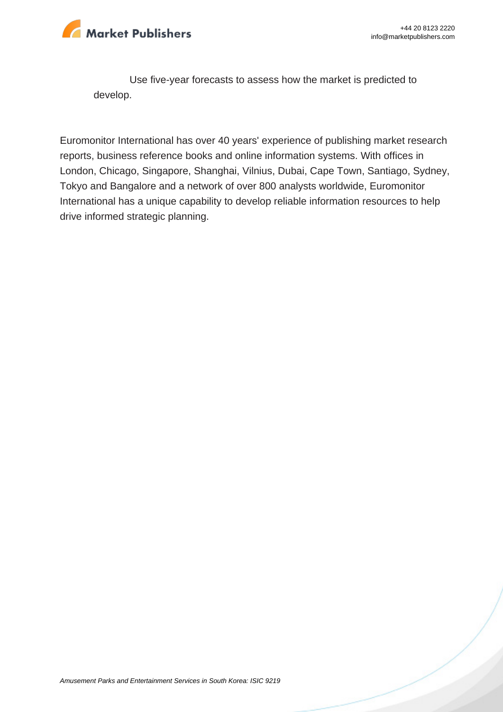

Use five-year forecasts to assess how the market is predicted to develop.

Euromonitor International has over 40 years' experience of publishing market research reports, business reference books and online information systems. With offices in London, Chicago, Singapore, Shanghai, Vilnius, Dubai, Cape Town, Santiago, Sydney, Tokyo and Bangalore and a network of over 800 analysts worldwide, Euromonitor International has a unique capability to develop reliable information resources to help drive informed strategic planning.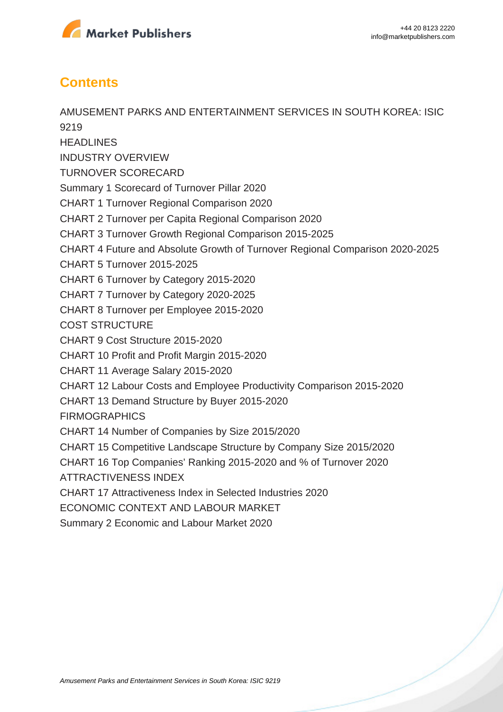

## **Contents**

AMUSEMENT PARKS AND ENTERTAINMENT SERVICES IN SOUTH KOREA: ISIC 9219 **HEADLINES** INDUSTRY OVERVIEW TURNOVER SCORECARD Summary 1 Scorecard of Turnover Pillar 2020 CHART 1 Turnover Regional Comparison 2020 CHART 2 Turnover per Capita Regional Comparison 2020 CHART 3 Turnover Growth Regional Comparison 2015-2025 CHART 4 Future and Absolute Growth of Turnover Regional Comparison 2020-2025 CHART 5 Turnover 2015-2025 CHART 6 Turnover by Category 2015-2020 CHART 7 Turnover by Category 2020-2025 CHART 8 Turnover per Employee 2015-2020 COST STRUCTURE CHART 9 Cost Structure 2015-2020 CHART 10 Profit and Profit Margin 2015-2020 CHART 11 Average Salary 2015-2020 CHART 12 Labour Costs and Employee Productivity Comparison 2015-2020 CHART 13 Demand Structure by Buyer 2015-2020 FIRMOGRAPHICS CHART 14 Number of Companies by Size 2015/2020 CHART 15 Competitive Landscape Structure by Company Size 2015/2020 CHART 16 Top Companies' Ranking 2015-2020 and % of Turnover 2020 ATTRACTIVENESS INDEX CHART 17 Attractiveness Index in Selected Industries 2020 ECONOMIC CONTEXT AND LABOUR MARKET Summary 2 Economic and Labour Market 2020